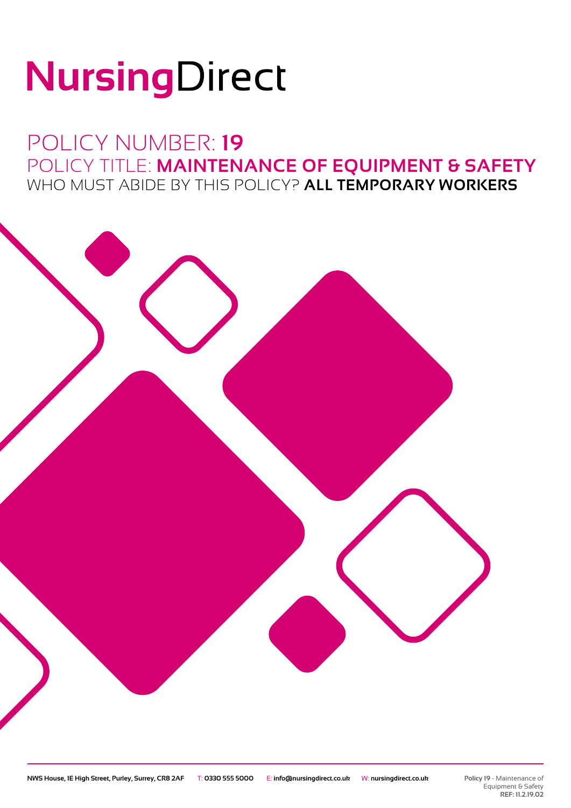# NursingDirect

### POLICY NUMBER: **19** POLICY TITLE: **MAINTENANCE OF EQUIPMENT & SAFETY** WHO MUST ABIDE BY THIS POLICY? **ALL TEMPORARY WORKERS**



**Policy 19** - Maintenance of Equipment & Safety **REF: 11.2.19.02**